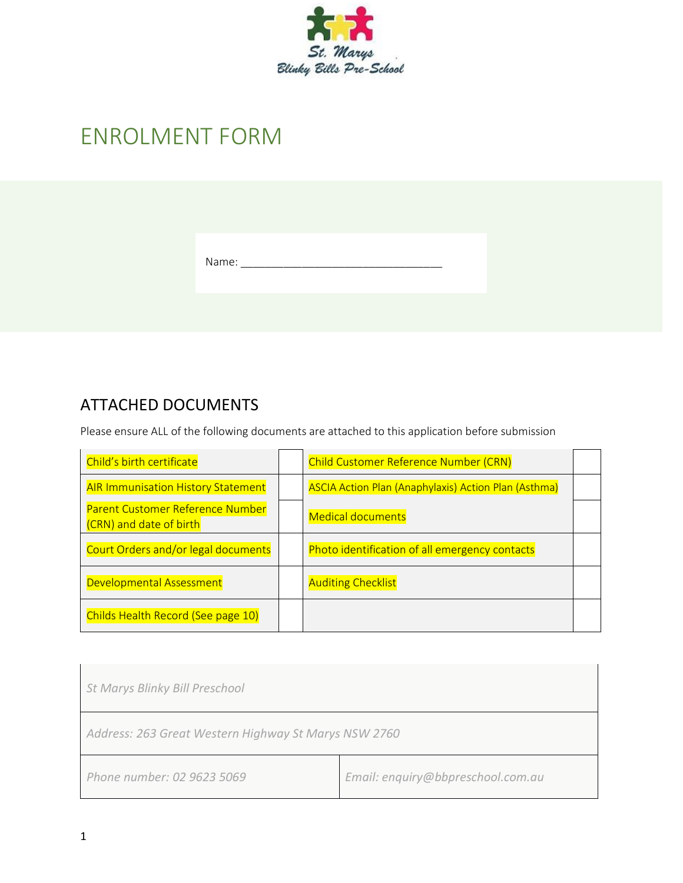

# ENROLMENT FORM

| Name: |
|-------|
|       |

#### ATTACHED DOCUMENTS

Please ensure ALL of the following documents are attached to this application before submission

| Child's birth certificate                                   | <b>Child Customer Reference Number (CRN)</b>                |  |
|-------------------------------------------------------------|-------------------------------------------------------------|--|
| <b>AIR Immunisation History Statement</b>                   | <b>ASCIA Action Plan (Anaphylaxis) Action Plan (Asthma)</b> |  |
| Parent Customer Reference Number<br>(CRN) and date of birth | <b>Medical documents</b>                                    |  |
| Court Orders and/or legal documents                         | Photo identification of all emergency contacts              |  |
| Developmental Assessment                                    | <b>Auditing Checklist</b>                                   |  |
| Childs Health Record (See page 10)                          |                                                             |  |

| <b>St Marys Blinky Bill Preschool</b>                |                                   |  |
|------------------------------------------------------|-----------------------------------|--|
| Address: 263 Great Western Highway St Marys NSW 2760 |                                   |  |
| Phone number: 02 9623 5069                           | Email: enquiry@bbpreschool.com.au |  |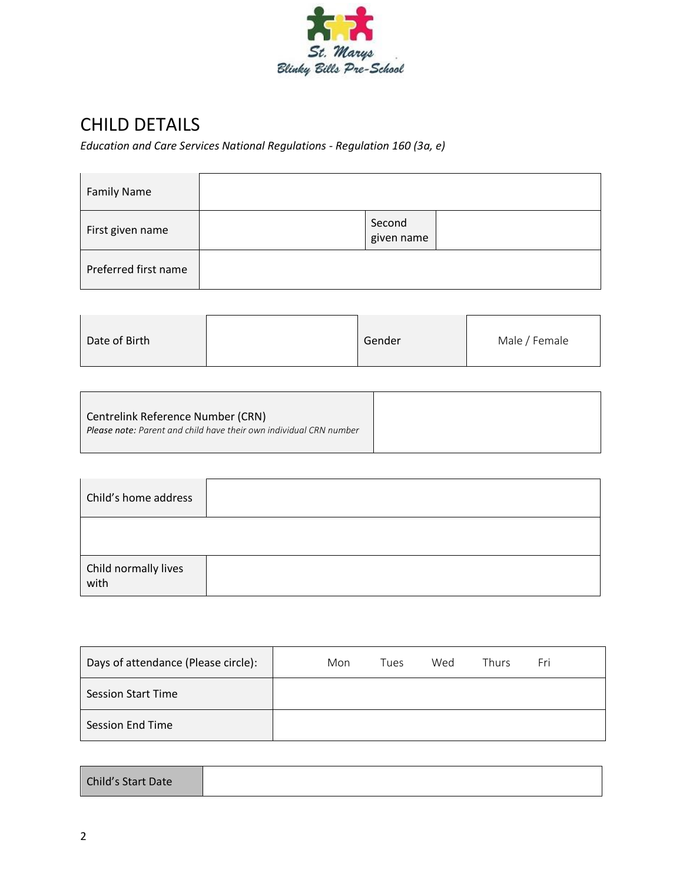

# CHILD DETAILS

*Education and Care Services National Regulations - Regulation 160 (3a, e)*

| <b>Family Name</b>   |                      |
|----------------------|----------------------|
| First given name     | Second<br>given name |
| Preferred first name |                      |

| Date of Birth | Gender | Male / Female |
|---------------|--------|---------------|
|               |        |               |

| Centrelink Reference Number (CRN)                                         |
|---------------------------------------------------------------------------|
| <b>Please note:</b> Parent and child have their own individual CRN number |
|                                                                           |

| Child's home address         |  |
|------------------------------|--|
|                              |  |
| Child normally lives<br>with |  |

| Days of attendance (Please circle): | Mon | Tues | Wed | Thurs | Fri |  |
|-------------------------------------|-----|------|-----|-------|-----|--|
| <b>Session Start Time</b>           |     |      |     |       |     |  |
| <b>Session End Time</b>             |     |      |     |       |     |  |

| <b>Child's Start Date</b> |
|---------------------------|
|---------------------------|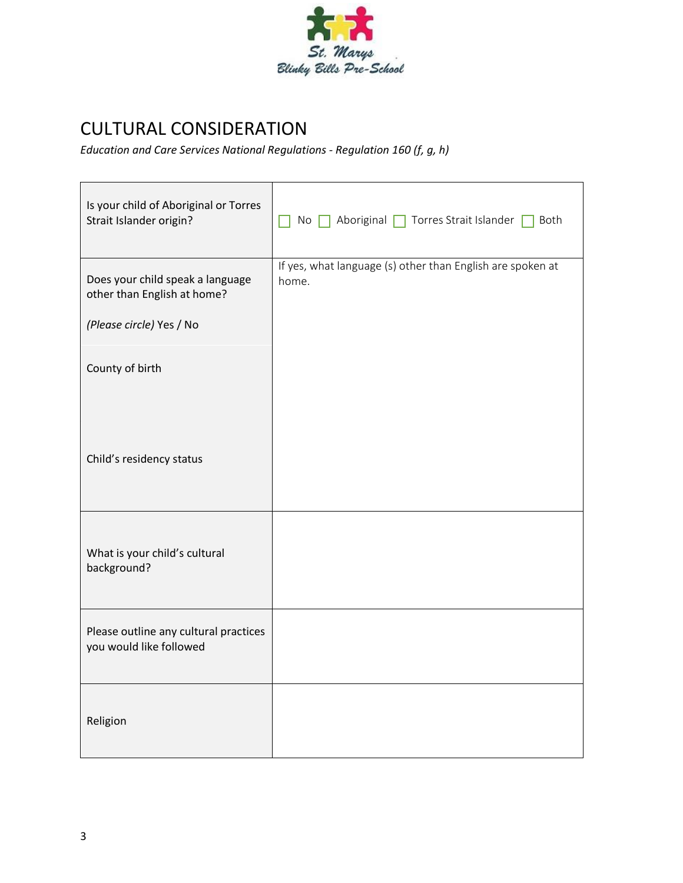

# CULTURAL CONSIDERATION

*Education and Care Services National Regulations - Regulation 160 (f, g, h)*

| Is your child of Aboriginal or Torres<br>Strait Islander origin? | No Aboriginal Torres Strait Islander Both                           |
|------------------------------------------------------------------|---------------------------------------------------------------------|
| Does your child speak a language<br>other than English at home?  | If yes, what language (s) other than English are spoken at<br>home. |
| (Please circle) Yes / No                                         |                                                                     |
| County of birth                                                  |                                                                     |
| Child's residency status                                         |                                                                     |
| What is your child's cultural<br>background?                     |                                                                     |
| Please outline any cultural practices<br>you would like followed |                                                                     |
| Religion                                                         |                                                                     |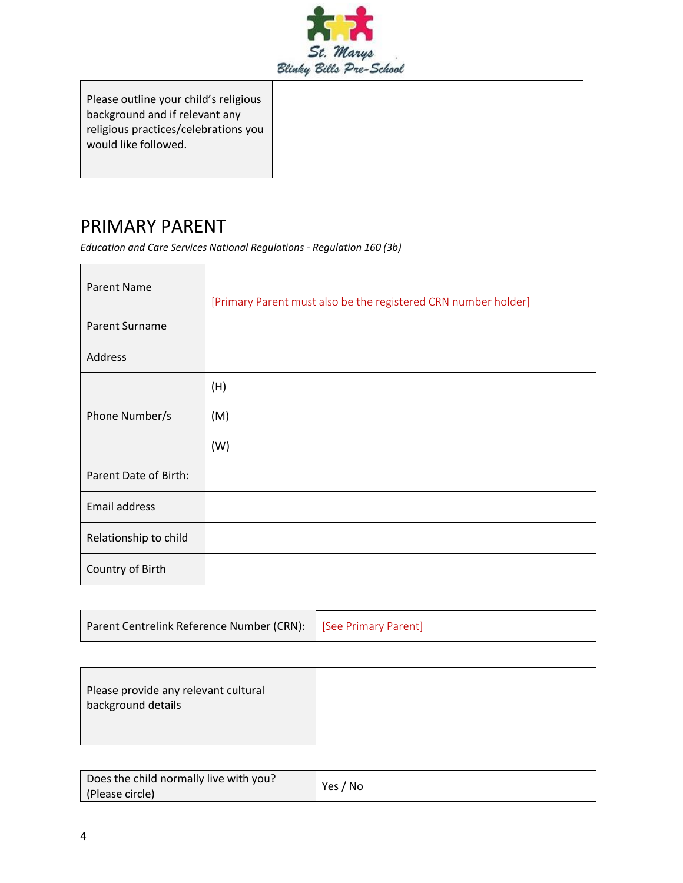

| Please outline your child's religious |  |
|---------------------------------------|--|
| background and if relevant any        |  |
| religious practices/celebrations you  |  |
| would like followed.                  |  |
|                                       |  |

### PRIMARY PARENT

*Education and Care Services National Regulations - Regulation 160 (3b)*

| <b>Parent Name</b>    | [Primary Parent must also be the registered CRN number holder] |
|-----------------------|----------------------------------------------------------------|
| Parent Surname        |                                                                |
| Address               |                                                                |
|                       | (H)                                                            |
| Phone Number/s        | (M)                                                            |
|                       | (W)                                                            |
| Parent Date of Birth: |                                                                |
| Email address         |                                                                |
| Relationship to child |                                                                |
| Country of Birth      |                                                                |

| Parent Centrelink Reference Number (CRN):   [See Primary Parent] |  |
|------------------------------------------------------------------|--|
|                                                                  |  |

| Please provide any relevant cultural<br>background details |  |
|------------------------------------------------------------|--|
|                                                            |  |

| Does the child normally live with you? | Yes / No |
|----------------------------------------|----------|
| (Please circle)                        |          |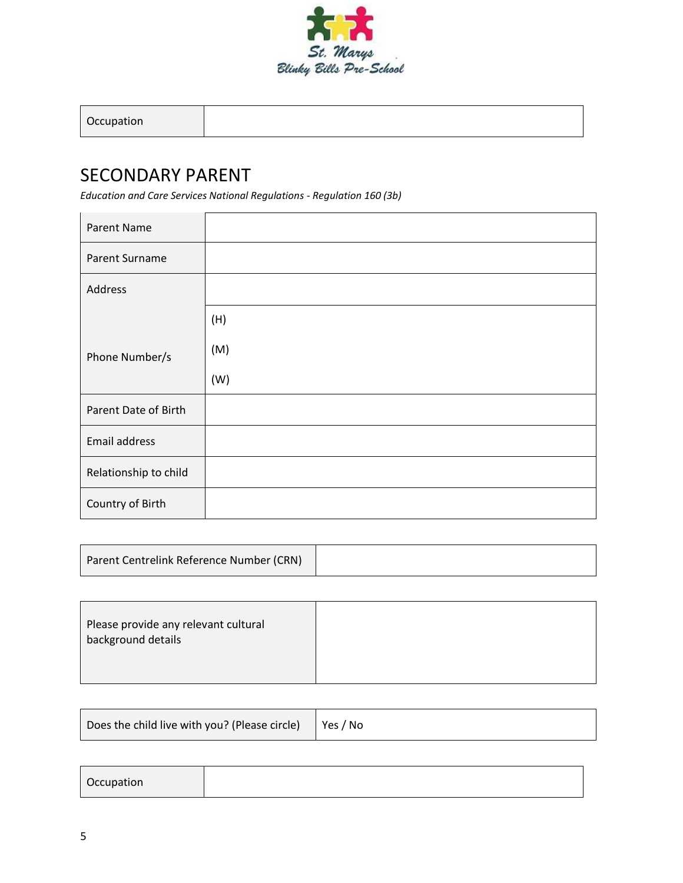

### SECONDARY PARENT

*Education and Care Services National Regulations - Regulation 160 (3b)*

| <b>Parent Name</b>    |     |
|-----------------------|-----|
| Parent Surname        |     |
| Address               |     |
|                       | (H) |
| Phone Number/s        | (M) |
|                       | (W) |
| Parent Date of Birth  |     |
| Email address         |     |
| Relationship to child |     |
| Country of Birth      |     |

| Parent Centrelink Reference Number (CRN) |  |
|------------------------------------------|--|
|------------------------------------------|--|

| Please provide any relevant cultural<br>background details |  |
|------------------------------------------------------------|--|
|                                                            |  |

| Does the child live with you? (Please circle)<br>∣Yes / No |  |
|------------------------------------------------------------|--|
|------------------------------------------------------------|--|

| Occupation |  |  |  |
|------------|--|--|--|
|------------|--|--|--|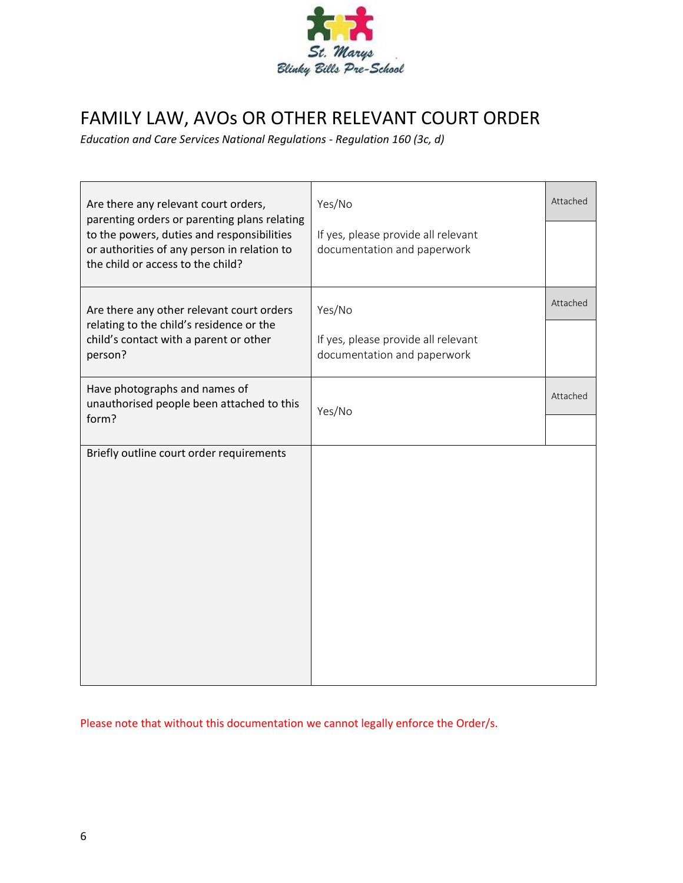

## FAMILY LAW, AVOs OR OTHER RELEVANT COURT ORDER

*Education and Care Services National Regulations - Regulation 160 (3c, d)*

| Are there any relevant court orders,<br>parenting orders or parenting plans relating                                           | Yes/No                                                             | Attached |
|--------------------------------------------------------------------------------------------------------------------------------|--------------------------------------------------------------------|----------|
| to the powers, duties and responsibilities<br>or authorities of any person in relation to<br>the child or access to the child? | If yes, please provide all relevant<br>documentation and paperwork |          |
| Are there any other relevant court orders                                                                                      | Yes/No                                                             | Attached |
| relating to the child's residence or the<br>child's contact with a parent or other<br>person?                                  | If yes, please provide all relevant<br>documentation and paperwork |          |
| Have photographs and names of<br>unauthorised people been attached to this                                                     | Yes/No                                                             | Attached |
| form?                                                                                                                          |                                                                    |          |
| Briefly outline court order requirements                                                                                       |                                                                    |          |
|                                                                                                                                |                                                                    |          |
|                                                                                                                                |                                                                    |          |
|                                                                                                                                |                                                                    |          |
|                                                                                                                                |                                                                    |          |
|                                                                                                                                |                                                                    |          |
|                                                                                                                                |                                                                    |          |

Please note that without this documentation we cannot legally enforce the Order/s.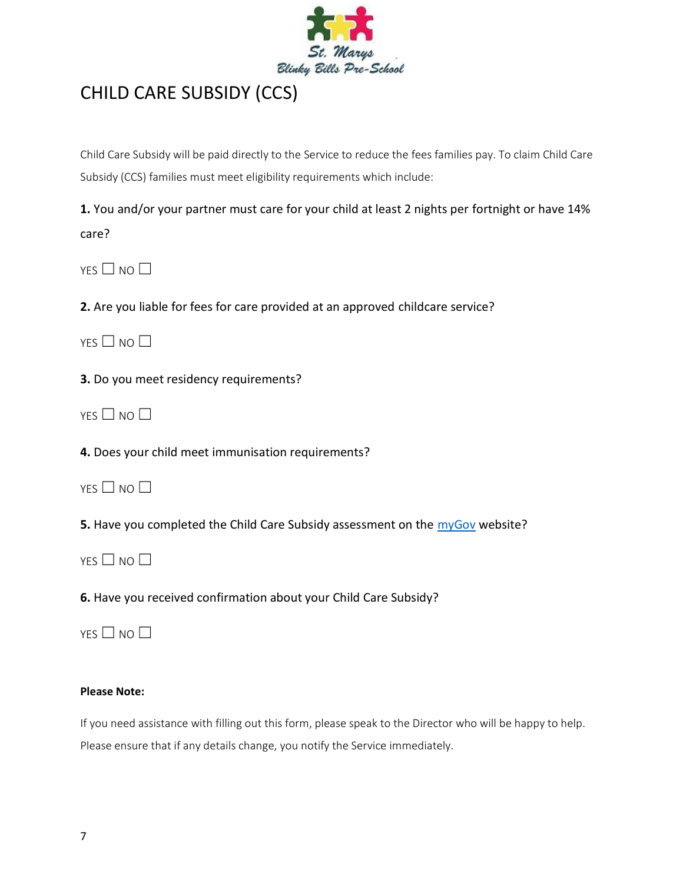

### CHILD CARE SUBSIDY (CCS)

Child Care Subsidy will be paid directly to the Service to reduce the fees families pay. To claim Child Care Subsidy (CCS) families must meet eligibility requirements which include:

**1.** You and/or your partner must care for your child at least 2 nights per fortnight or have 14% care?

 $YES \Box NO \Box$ 

**2.** Are you liable for fees for care provided at an approved childcare service?

 $YES \Box NO \Box$ 

**3.** Do you meet residency requirements?

 $YES \Box NO \Box$ 

**4.** Does your child meet immunisation requirements?

|  | NC |  |
|--|----|--|
|  |    |  |

**5.** Have you completed the Child Care Subsidy assessment on the [myGov](https://my.gov.au/LoginServices/main/login?execution=e2s1) website?

 $YFS \Box NO \Box$ 

**6.** Have you received confirmation about your Child Care Subsidy?

 $YFS \Box NO \Box$ 

#### **Please Note:**

If you need assistance with filling out this form, please speak to the Director who will be happy to help. Please ensure that if any details change, you notify the Service immediately.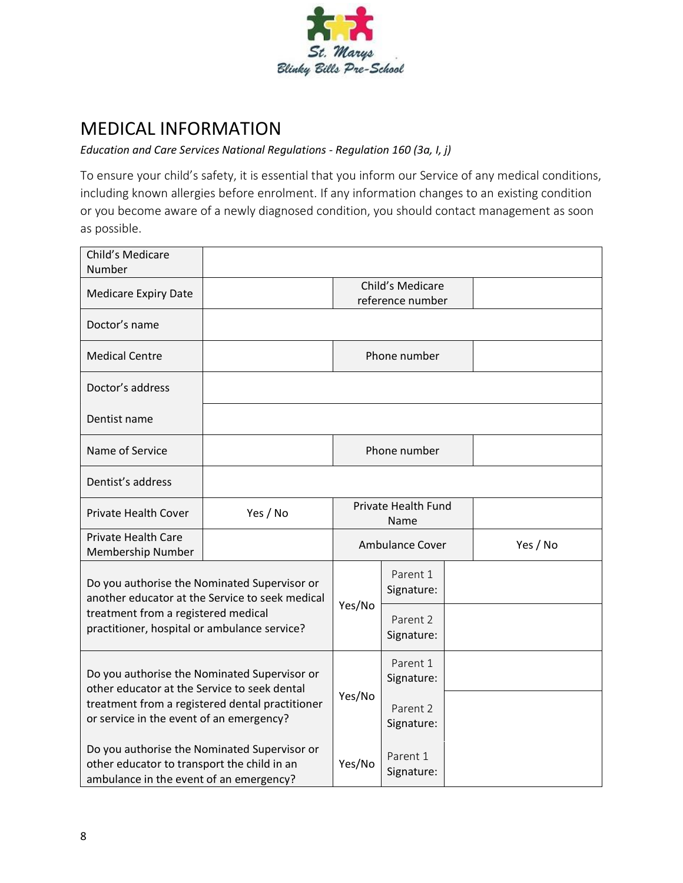

### MEDICAL INFORMATION

#### *Education and Care Services National Regulations - Regulation 160 (3a, I, j)*

To ensure your child's safety, it is essential that you inform our Service of any medical conditions, including known allergies before enrolment. If any information changes to an existing condition or you become aware of a newly diagnosed condition, you should contact management as soon as possible.

| Child's Medicare<br>Number                                                                                                                                                                  |                                              |                             |                        |          |
|---------------------------------------------------------------------------------------------------------------------------------------------------------------------------------------------|----------------------------------------------|-----------------------------|------------------------|----------|
| <b>Medicare Expiry Date</b>                                                                                                                                                                 | Child's Medicare<br>reference number         |                             |                        |          |
| Doctor's name                                                                                                                                                                               |                                              |                             |                        |          |
| <b>Medical Centre</b>                                                                                                                                                                       |                                              |                             | Phone number           |          |
| Doctor's address                                                                                                                                                                            |                                              |                             |                        |          |
| Dentist name                                                                                                                                                                                |                                              |                             |                        |          |
| Name of Service                                                                                                                                                                             |                                              |                             | Phone number           |          |
| Dentist's address                                                                                                                                                                           |                                              |                             |                        |          |
| Private Health Cover                                                                                                                                                                        | Yes / No                                     | Private Health Fund<br>Name |                        |          |
| <b>Private Health Care</b><br>Membership Number                                                                                                                                             |                                              | <b>Ambulance Cover</b>      |                        | Yes / No |
| Do you authorise the Nominated Supervisor or<br>another educator at the Service to seek medical<br>treatment from a registered medical<br>practitioner, hospital or ambulance service?      |                                              | Yes/No                      | Parent 1<br>Signature: |          |
|                                                                                                                                                                                             |                                              |                             | Parent 2<br>Signature: |          |
| Do you authorise the Nominated Supervisor or<br>other educator at the Service to seek dental<br>treatment from a registered dental practitioner<br>or service in the event of an emergency? |                                              | Yes/No                      | Parent 1<br>Signature: |          |
|                                                                                                                                                                                             |                                              |                             | Parent 2<br>Signature: |          |
| other educator to transport the child in an<br>ambulance in the event of an emergency?                                                                                                      | Do you authorise the Nominated Supervisor or | Yes/No                      | Parent 1<br>Signature: |          |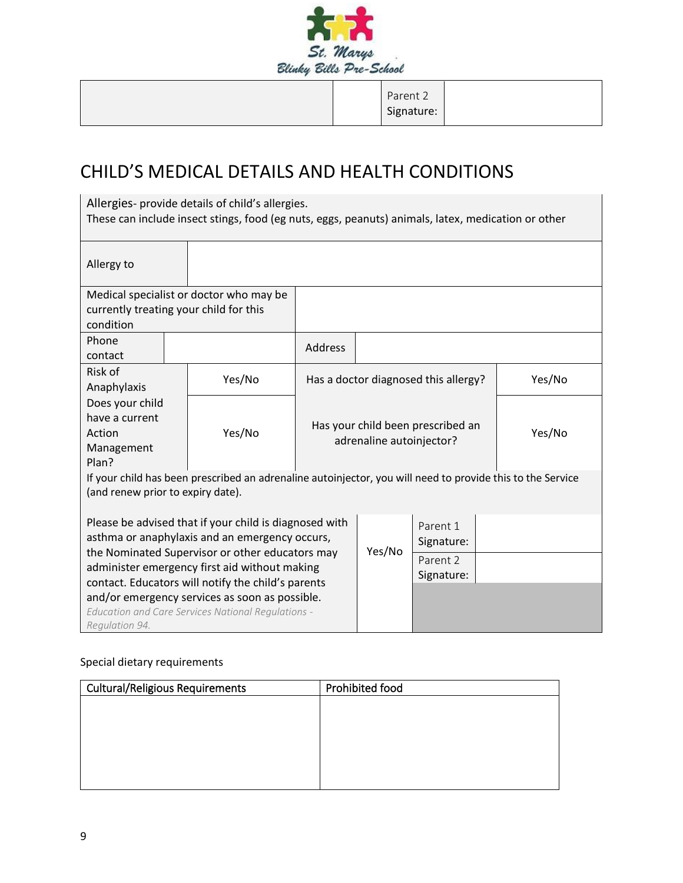

Parent 2 Signature:

# CHILD'S MEDICAL DETAILS AND HEALTH CONDITIONS

| Allergies- provide details of child's allergies.<br>These can include insect stings, food (eg nuts, eggs, peanuts) animals, latex, medication or other |                                         |                                                                         |        |                                      |  |        |
|--------------------------------------------------------------------------------------------------------------------------------------------------------|-----------------------------------------|-------------------------------------------------------------------------|--------|--------------------------------------|--|--------|
| Allergy to                                                                                                                                             |                                         |                                                                         |        |                                      |  |        |
|                                                                                                                                                        | Medical specialist or doctor who may be |                                                                         |        |                                      |  |        |
| currently treating your child for this                                                                                                                 |                                         |                                                                         |        |                                      |  |        |
| condition                                                                                                                                              |                                         |                                                                         |        |                                      |  |        |
| Phone<br>contact                                                                                                                                       |                                         | <b>Address</b>                                                          |        |                                      |  |        |
| Risk of<br>Anaphylaxis                                                                                                                                 | Yes/No                                  |                                                                         |        | Has a doctor diagnosed this allergy? |  | Yes/No |
| Does your child<br>have a current<br>Action<br>Management<br>Plan?                                                                                     | Yes/No                                  | Has your child been prescribed an<br>Yes/No<br>adrenaline autoinjector? |        |                                      |  |        |
| If your child has been prescribed an adrenaline autoinjector, you will need to provide this to the Service<br>(and renew prior to expiry date).        |                                         |                                                                         |        |                                      |  |        |
| Please be advised that if your child is diagnosed with<br>asthma or anaphylaxis and an emergency occurs,                                               |                                         |                                                                         | Yes/No | Parent 1<br>Signature:               |  |        |
| the Nominated Supervisor or other educators may<br>administer emergency first aid without making<br>contact. Educators will notify the child's parents |                                         |                                                                         |        | Parent 2<br>Signature:               |  |        |
| and/or emergency services as soon as possible.<br>Education and Care Services National Regulations -<br>Regulation 94.                                 |                                         |                                                                         |        |                                      |  |        |

#### Special dietary requirements

| <b>Cultural/Religious Requirements</b> | Prohibited food |
|----------------------------------------|-----------------|
|                                        |                 |
|                                        |                 |
|                                        |                 |
|                                        |                 |
|                                        |                 |
|                                        |                 |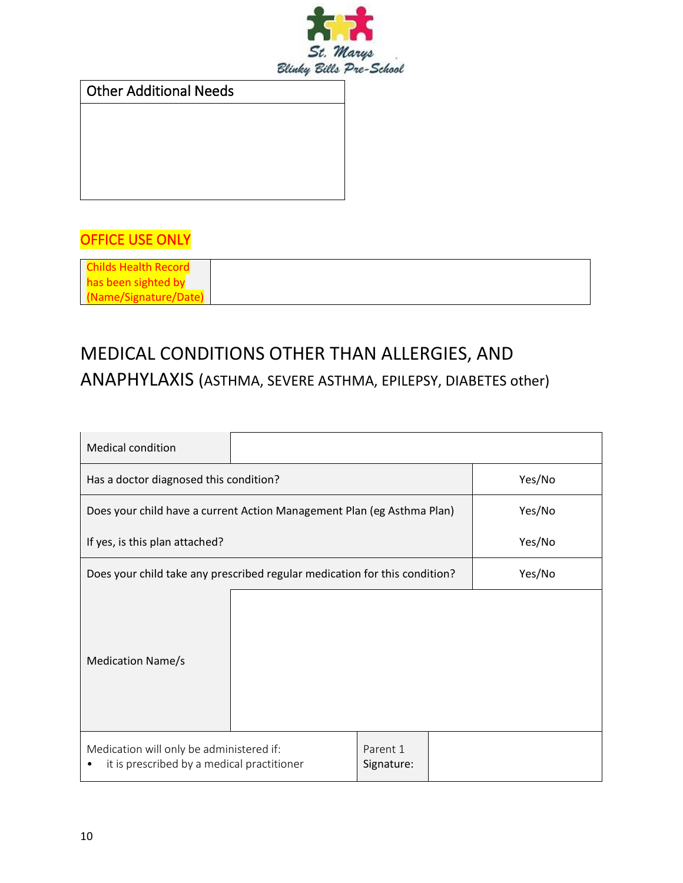

Other Additional Needs

### OFFICE USE ONLY

| <b>Childs Health Record</b> |  |
|-----------------------------|--|
| has been sighted by         |  |
| (Name/Signature/Date)       |  |

# MEDICAL CONDITIONS OTHER THAN ALLERGIES, AND ANAPHYLAXIS (ASTHMA, SEVERE ASTHMA, EPILEPSY, DIABETES other)

| <b>Medical condition</b>                                                               |  |                        |        |
|----------------------------------------------------------------------------------------|--|------------------------|--------|
| Has a doctor diagnosed this condition?                                                 |  |                        | Yes/No |
| Does your child have a current Action Management Plan (eg Asthma Plan)                 |  |                        | Yes/No |
| If yes, is this plan attached?                                                         |  |                        | Yes/No |
| Does your child take any prescribed regular medication for this condition?             |  |                        | Yes/No |
| <b>Medication Name/s</b>                                                               |  |                        |        |
| Medication will only be administered if:<br>it is prescribed by a medical practitioner |  | Parent 1<br>Signature: |        |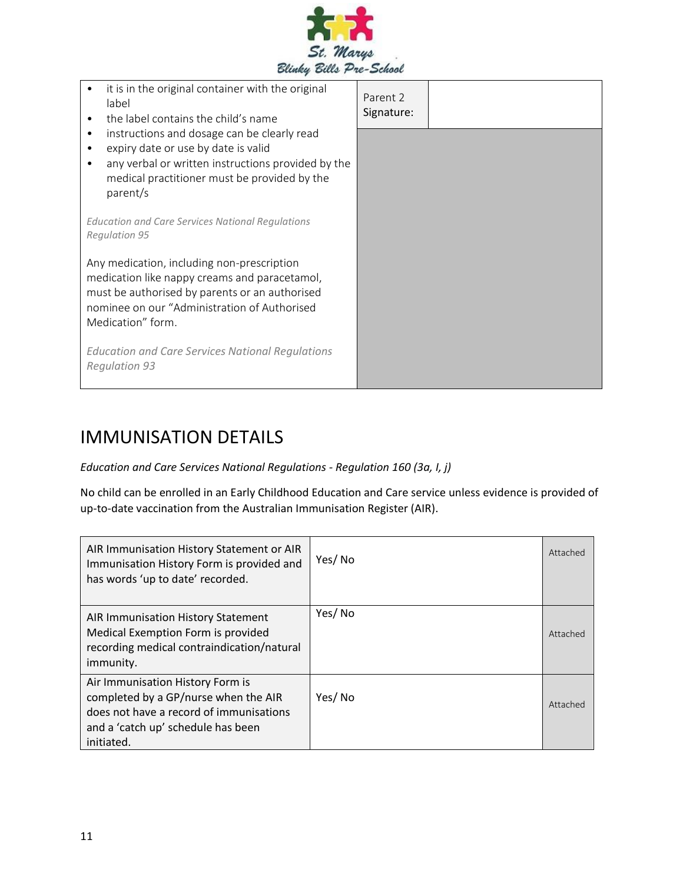

| it is in the original container with the original<br>label<br>the label contains the child's name<br>٠                                                                                                                                                                        | Parent 2<br>Signature: |  |
|-------------------------------------------------------------------------------------------------------------------------------------------------------------------------------------------------------------------------------------------------------------------------------|------------------------|--|
| instructions and dosage can be clearly read<br>$\bullet$<br>expiry date or use by date is valid<br>٠<br>any verbal or written instructions provided by the<br>$\bullet$<br>medical practitioner must be provided by the<br>parent/s                                           |                        |  |
| <b>Education and Care Services National Regulations</b><br><b>Regulation 95</b>                                                                                                                                                                                               |                        |  |
| Any medication, including non-prescription<br>medication like nappy creams and paracetamol,<br>must be authorised by parents or an authorised<br>nominee on our "Administration of Authorised<br>Medication" form.<br><b>Education and Care Services National Regulations</b> |                        |  |
| <b>Regulation 93</b>                                                                                                                                                                                                                                                          |                        |  |

### IMMUNISATION DETAILS

#### *Education and Care Services National Regulations - Regulation 160 (3a, I, j)*

No child can be enrolled in an Early Childhood Education and Care service unless evidence is provided of up-to-date vaccination from the Australian Immunisation Register (AIR).

| AIR Immunisation History Statement or AIR<br>Immunisation History Form is provided and<br>has words 'up to date' recorded.                                              | Yes/No | Attached |
|-------------------------------------------------------------------------------------------------------------------------------------------------------------------------|--------|----------|
| AIR Immunisation History Statement<br>Medical Exemption Form is provided<br>recording medical contraindication/natural<br>immunity.                                     | Yes/No | Attached |
| Air Immunisation History Form is<br>completed by a GP/nurse when the AIR<br>does not have a record of immunisations<br>and a 'catch up' schedule has been<br>initiated. | Yes/No | Attached |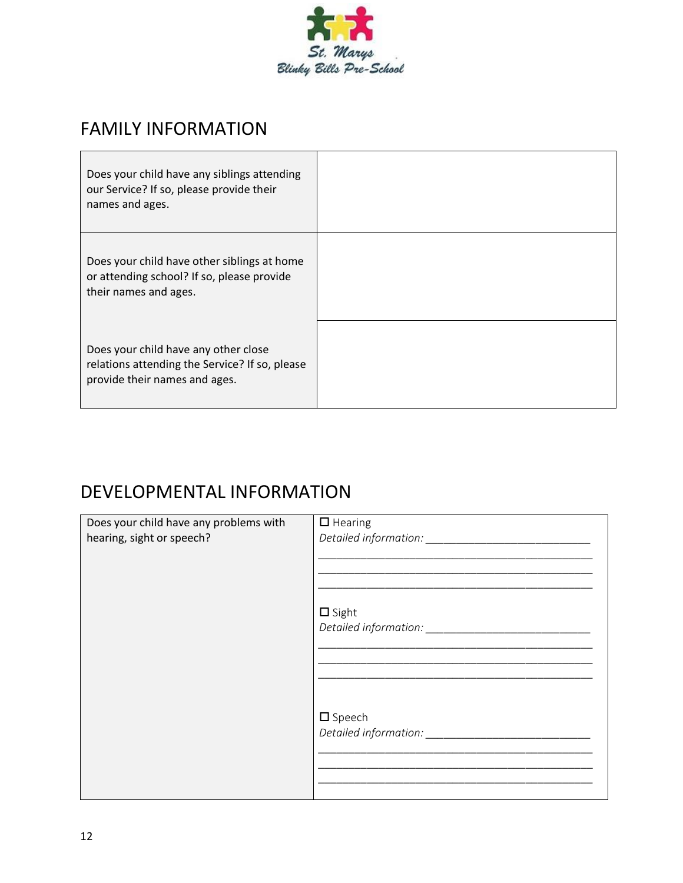

### FAMILY INFORMATION

| Does your child have any siblings attending<br>our Service? If so, please provide their<br>names and ages.              |  |
|-------------------------------------------------------------------------------------------------------------------------|--|
| Does your child have other siblings at home<br>or attending school? If so, please provide<br>their names and ages.      |  |
| Does your child have any other close<br>relations attending the Service? If so, please<br>provide their names and ages. |  |

# DEVELOPMENTAL INFORMATION

| Does your child have any problems with | $\Box$ Hearing   |
|----------------------------------------|------------------|
|                                        |                  |
| hearing, sight or speech?              |                  |
|                                        |                  |
|                                        |                  |
|                                        |                  |
|                                        |                  |
|                                        | $\square$ Sight  |
|                                        |                  |
|                                        |                  |
|                                        |                  |
|                                        |                  |
|                                        |                  |
|                                        |                  |
|                                        |                  |
|                                        |                  |
|                                        | $\square$ Speech |
|                                        |                  |
|                                        |                  |
|                                        |                  |
|                                        |                  |
|                                        |                  |
|                                        |                  |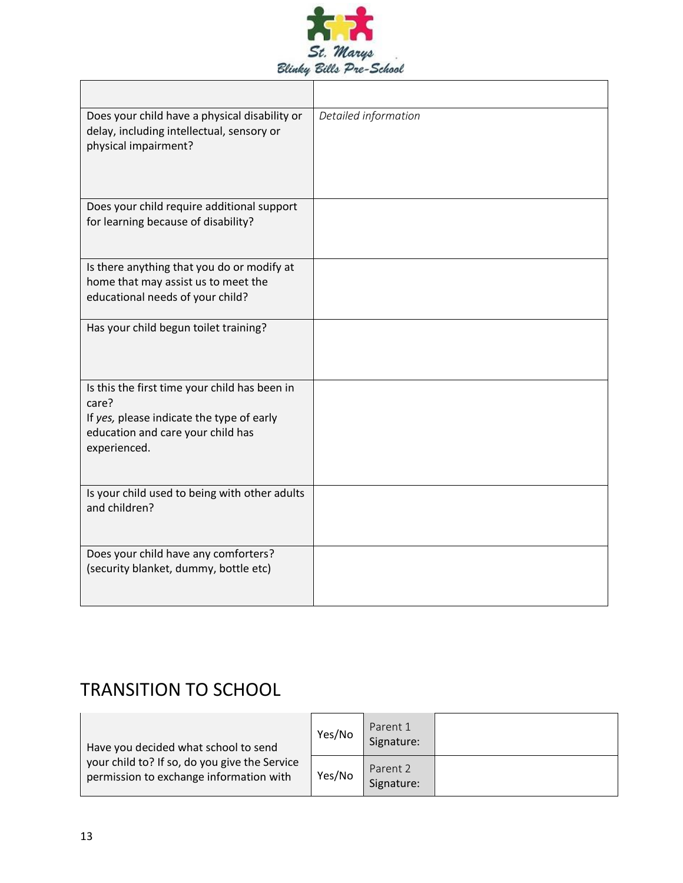

| Does your child have a physical disability or<br>delay, including intellectual, sensory or<br>physical impairment?                                       | Detailed information |
|----------------------------------------------------------------------------------------------------------------------------------------------------------|----------------------|
| Does your child require additional support<br>for learning because of disability?                                                                        |                      |
| Is there anything that you do or modify at<br>home that may assist us to meet the<br>educational needs of your child?                                    |                      |
| Has your child begun toilet training?                                                                                                                    |                      |
| Is this the first time your child has been in<br>care?<br>If yes, please indicate the type of early<br>education and care your child has<br>experienced. |                      |
| Is your child used to being with other adults<br>and children?                                                                                           |                      |
| Does your child have any comforters?<br>(security blanket, dummy, bottle etc)                                                                            |                      |

# TRANSITION TO SCHOOL

| Have you decided what school to send                                                     | Yes/No | Parent 1<br>Signature: |  |
|------------------------------------------------------------------------------------------|--------|------------------------|--|
| your child to? If so, do you give the Service<br>permission to exchange information with | Yes/No | Parent 2<br>Signature: |  |

r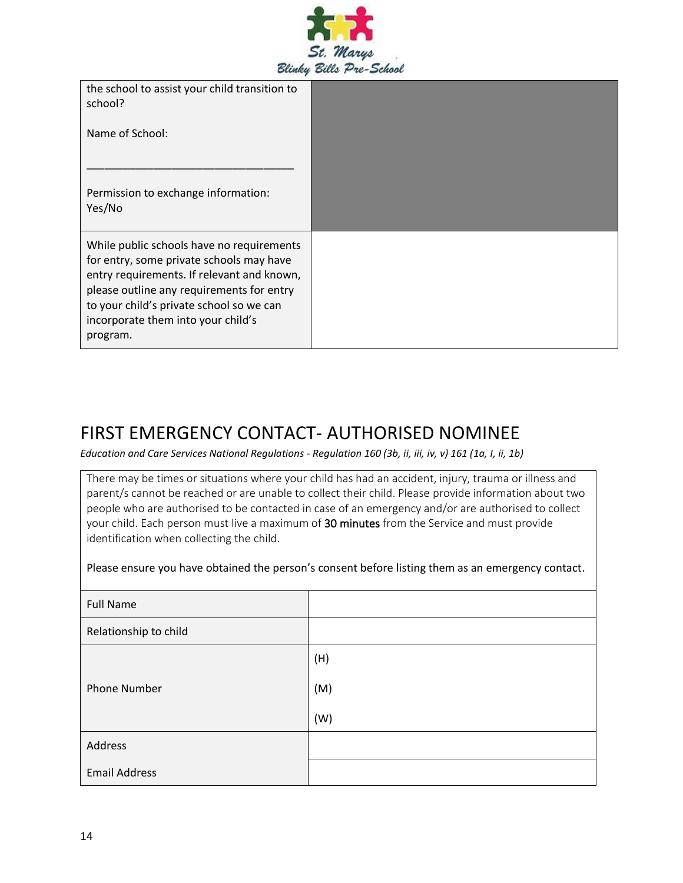

the school to assist your child transition to school?

Name of School:

Permission to exchange information: Yes/No

\_\_\_\_\_\_\_\_\_\_\_\_\_\_\_\_\_\_\_\_\_\_\_\_\_\_\_\_\_\_\_\_\_\_

While public schools have no requirements for entry, some private schools may have entry requirements. If relevant and known, please outline any requirements for entry to your child's private school so we can incorporate them into your child's program.

#### FIRST EMERGENCY CONTACT- AUTHORISED NOMINEE

*Education and Care Services National Regulations - Regulation 160 (3b, ii, iii, iv, v) 161 (1a, I, ii, 1b)*

There may be times or situations where your child has had an accident, injury, trauma or illness and parent/s cannot be reached or are unable to collect their child. Please provide information about two people who are authorised to be contacted in case of an emergency and/or are authorised to collect your child. Each person must live a maximum of 30 minutes from the Service and must provide identification when collecting the child.

Please ensure you have obtained the person's consent before listing them as an emergency contact.

| <b>Full Name</b>      |     |
|-----------------------|-----|
| Relationship to child |     |
|                       | (H) |
| <b>Phone Number</b>   | (M) |
|                       | (W) |
| Address               |     |
| <b>Email Address</b>  |     |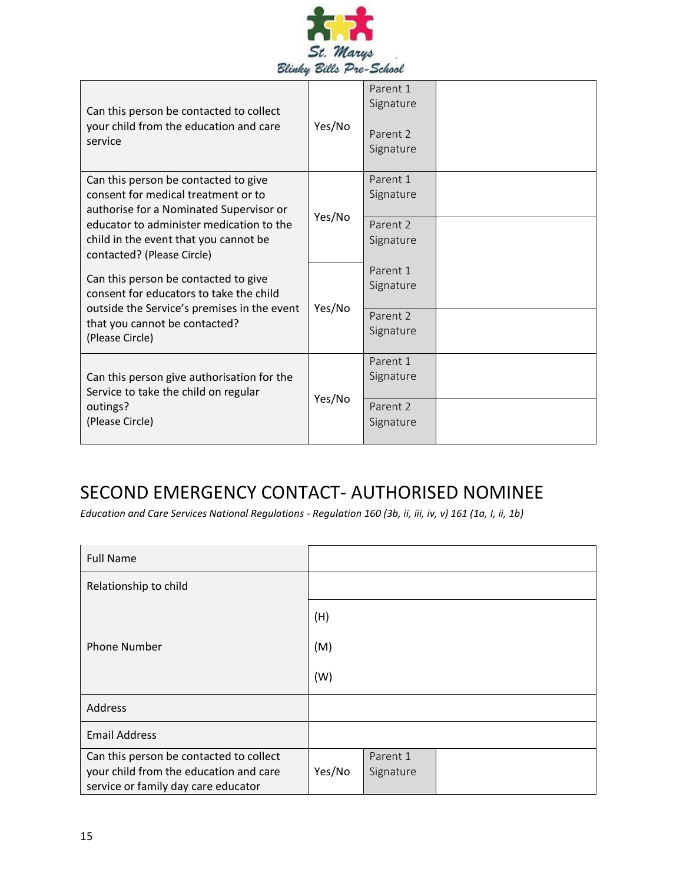

| Can this person be contacted to collect<br>your child from the education and care<br>service                                                                                                                                              | Yes/No | Parent 1<br>Signature<br>Parent 2<br>Signature |  |
|-------------------------------------------------------------------------------------------------------------------------------------------------------------------------------------------------------------------------------------------|--------|------------------------------------------------|--|
| Can this person be contacted to give<br>consent for medical treatment or to<br>authorise for a Nominated Supervisor or<br>educator to administer medication to the<br>child in the event that you cannot be<br>contacted? (Please Circle) | Yes/No | Parent 1<br>Signature<br>Parent 2<br>Signature |  |
| Can this person be contacted to give<br>consent for educators to take the child<br>outside the Service's premises in the event<br>that you cannot be contacted?<br>(Please Circle)                                                        | Yes/No | Parent 1<br>Signature<br>Parent 2<br>Signature |  |
| Can this person give authorisation for the<br>Service to take the child on regular<br>outings?<br>(Please Circle)                                                                                                                         | Yes/No | Parent 1<br>Signature<br>Parent 2<br>Signature |  |

# SECOND EMERGENCY CONTACT- AUTHORISED NOMINEE

*Education and Care Services National Regulations - Regulation 160 (3b, ii, iii, iv, v) 161 (1a, I, ii, 1b)*

| <b>Full Name</b>                                                                                                         |        |                       |  |
|--------------------------------------------------------------------------------------------------------------------------|--------|-----------------------|--|
| Relationship to child                                                                                                    |        |                       |  |
|                                                                                                                          | (H)    |                       |  |
| <b>Phone Number</b>                                                                                                      | (M)    |                       |  |
|                                                                                                                          | (W)    |                       |  |
| Address                                                                                                                  |        |                       |  |
| <b>Email Address</b>                                                                                                     |        |                       |  |
| Can this person be contacted to collect<br>your child from the education and care<br>service or family day care educator | Yes/No | Parent 1<br>Signature |  |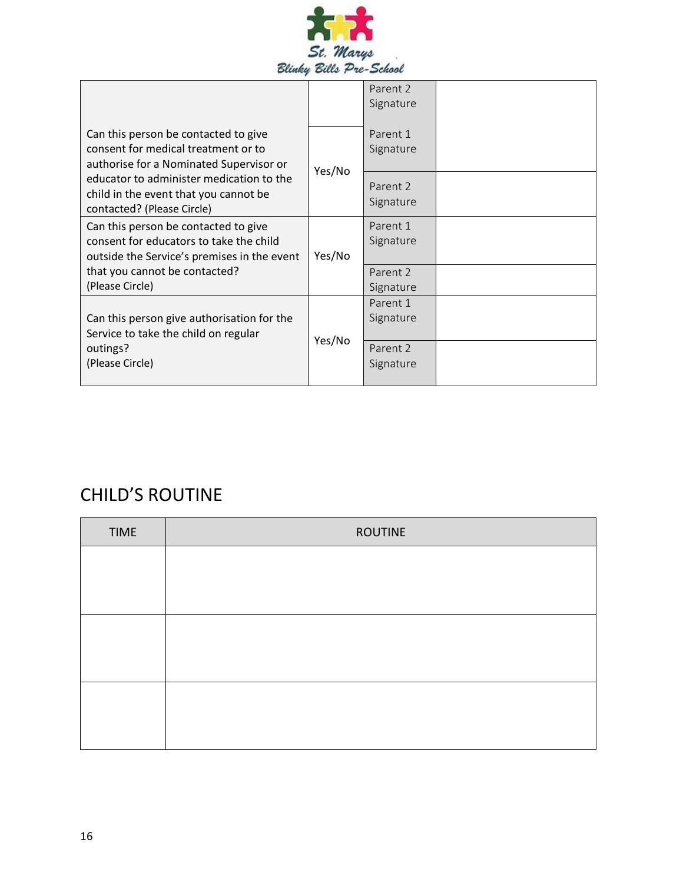

|                                                                                                                                |        | Parent 2<br>Signature |  |
|--------------------------------------------------------------------------------------------------------------------------------|--------|-----------------------|--|
| Can this person be contacted to give<br>consent for medical treatment or to<br>authorise for a Nominated Supervisor or         |        | Parent 1<br>Signature |  |
| educator to administer medication to the<br>child in the event that you cannot be<br>contacted? (Please Circle)                | Yes/No | Parent 2<br>Signature |  |
| Can this person be contacted to give<br>consent for educators to take the child<br>outside the Service's premises in the event | Yes/No | Parent 1<br>Signature |  |
| that you cannot be contacted?<br>(Please Circle)                                                                               |        | Parent 2<br>Signature |  |
| Can this person give authorisation for the<br>Service to take the child on regular                                             | Yes/No | Parent 1<br>Signature |  |
| outings?<br>(Please Circle)                                                                                                    |        | Parent 2<br>Signature |  |

# CHILD'S ROUTINE

| <b>TIME</b> | <b>ROUTINE</b> |
|-------------|----------------|
|             |                |
|             |                |
|             |                |
|             |                |
|             |                |
|             |                |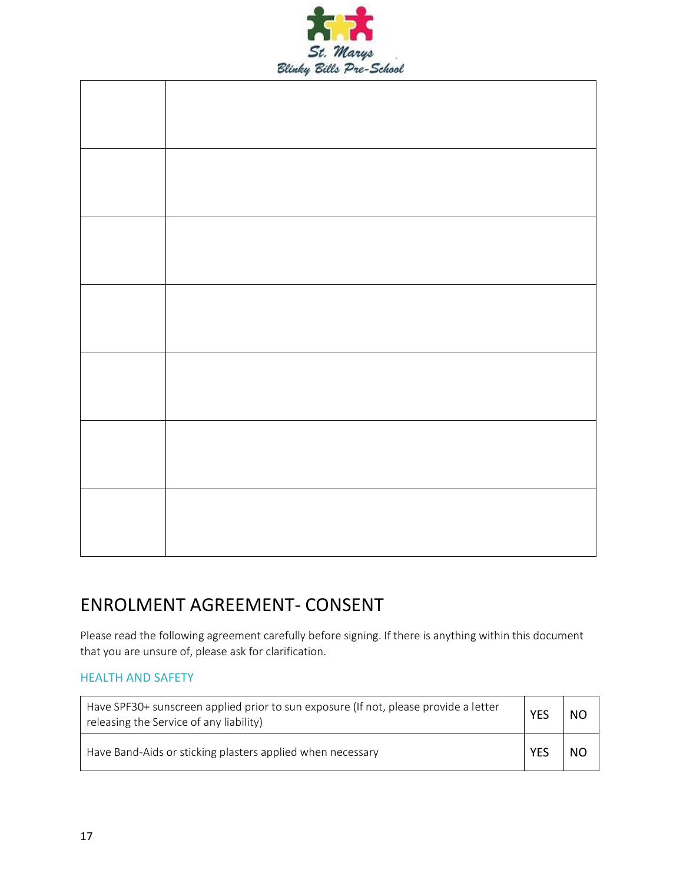

### ENROLMENT AGREEMENT- CONSENT

Please read the following agreement carefully before signing. If there is anything within this document that you are unsure of, please ask for clarification.

#### HEALTH AND SAFETY

| Have SPF30+ sunscreen applied prior to sun exposure (If not, please provide a letter<br>releasing the Service of any liability) | YES        | <b>NO</b> |
|---------------------------------------------------------------------------------------------------------------------------------|------------|-----------|
| Have Band-Aids or sticking plasters applied when necessary                                                                      | <b>YES</b> | NO        |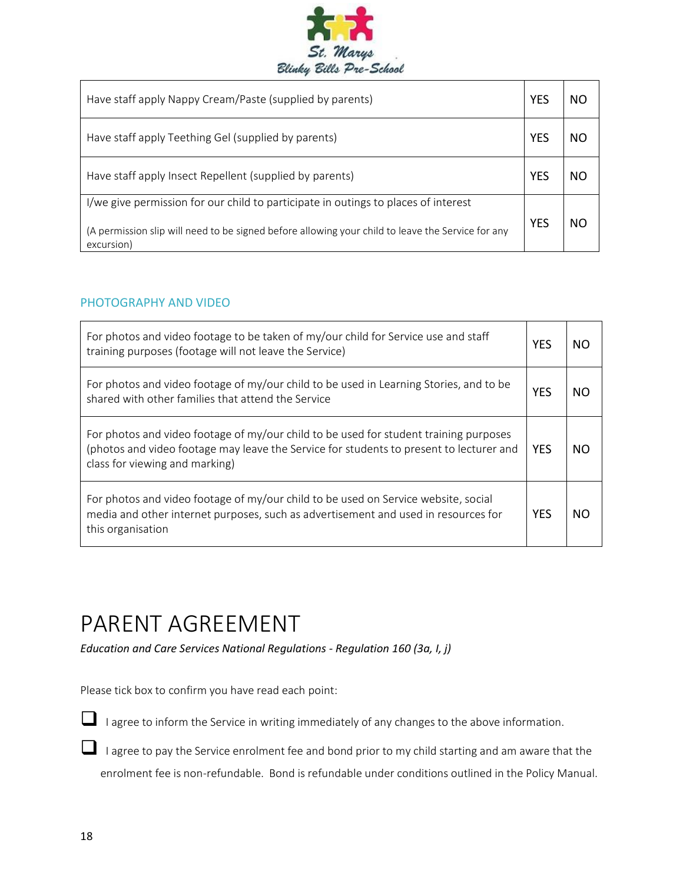

| Have staff apply Nappy Cream/Paste (supplied by parents)                                                                                                                                              |            |    |
|-------------------------------------------------------------------------------------------------------------------------------------------------------------------------------------------------------|------------|----|
| Have staff apply Teething Gel (supplied by parents)                                                                                                                                                   | YFS        | NΟ |
| Have staff apply Insect Repellent (supplied by parents)                                                                                                                                               | YES        | NΟ |
| I/we give permission for our child to participate in outings to places of interest<br>(A permission slip will need to be signed before allowing your child to leave the Service for any<br>excursion) | <b>YES</b> | NΟ |

#### PHOTOGRAPHY AND VIDEO

| For photos and video footage to be taken of my/our child for Service use and staff<br>training purposes (footage will not leave the Service)                                                                       | <b>YES</b> | NΟ |
|--------------------------------------------------------------------------------------------------------------------------------------------------------------------------------------------------------------------|------------|----|
| For photos and video footage of my/our child to be used in Learning Stories, and to be<br>shared with other families that attend the Service                                                                       | <b>YES</b> | NΟ |
| For photos and video footage of my/our child to be used for student training purposes<br>(photos and video footage may leave the Service for students to present to lecturer and<br>class for viewing and marking) | <b>YES</b> | NΟ |
| For photos and video footage of my/our child to be used on Service website, social<br>media and other internet purposes, such as advertisement and used in resources for<br>this organisation                      | <b>YES</b> | NΟ |

# PARENT AGREEMENT

*Education and Care Services National Regulations - Regulation 160 (3a, I, j)*

Please tick box to confirm you have read each point:

■ I agree to inform the Service in writing immediately of any changes to the above information.

■ I agree to pay the Service enrolment fee and bond prior to my child starting and am aware that the enrolment fee is non-refundable. Bond is refundable under conditions outlined in the Policy Manual.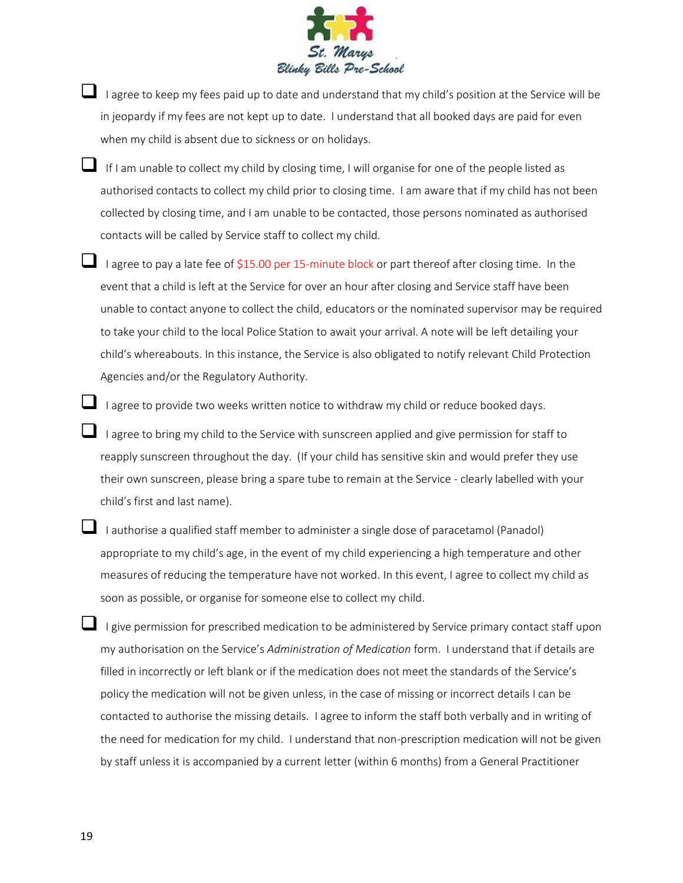

- $\Box$  I agree to keep my fees paid up to date and understand that my child's position at the Service will be in jeopardy if my fees are not kept up to date. I understand that all booked days are paid for even when my child is absent due to sickness or on holidays.
- If I am unable to collect my child by closing time, I will organise for one of the people listed as authorised contacts to collect my child prior to closing time. I am aware that if my child has not been collected by closing time, and I am unable to be contacted, those persons nominated as authorised contacts will be called by Service staff to collect my child.
- ❑ I agree to pay a late fee of \$15.00 per 15-minute block or part thereof after closing time. In the event that a child is left at the Service for over an hour after closing and Service staff have been unable to contact anyone to collect the child, educators or the nominated supervisor may be required to take your child to the local Police Station to await your arrival. A note will be left detailing your child's whereabouts. In this instance, the Service is also obligated to notify relevant Child Protection Agencies and/or the Regulatory Authority.
- ❑ I agree to provide two weeks written notice to withdraw my child or reduce booked days.
	- I agree to bring my child to the Service with sunscreen applied and give permission for staff to reapply sunscreen throughout the day. (If your child has sensitive skin and would prefer they use their own sunscreen, please bring a spare tube to remain at the Service - clearly labelled with your child's first and last name).
- ❑ I authorise a qualified staff member to administer a single dose of paracetamol (Panadol) appropriate to my child's age, in the event of my child experiencing a high temperature and other measures of reducing the temperature have not worked. In this event, I agree to collect my child as soon as possible, or organise for someone else to collect my child.
- ❑ I give permission for prescribed medication to be administered by Service primary contact staff upon my authorisation on the Service's *Administration of Medication* form. I understand that if details are filled in incorrectly or left blank or if the medication does not meet the standards of the Service's policy the medication will not be given unless, in the case of missing or incorrect details I can be contacted to authorise the missing details. I agree to inform the staff both verbally and in writing of the need for medication for my child. I understand that non-prescription medication will not be given by staff unless it is accompanied by a current letter (within 6 months) from a General Practitioner